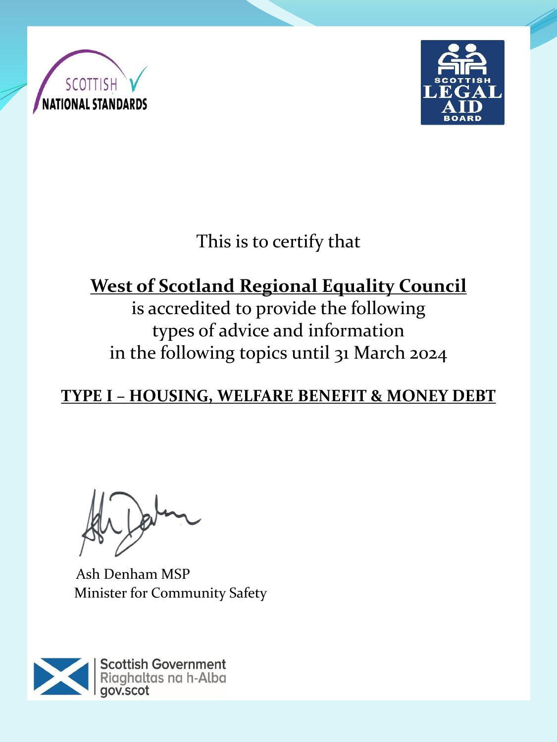



This is to certify that

# **West of Scotland Regional Equality Council**

is accredited to provide the following types of advice and information in the following topics until 31 March 2024

**TYPE I – HOUSING, WELFARE BENEFIT & MONEY DEBT**

Ash Denham MSP Minister for Community Safety

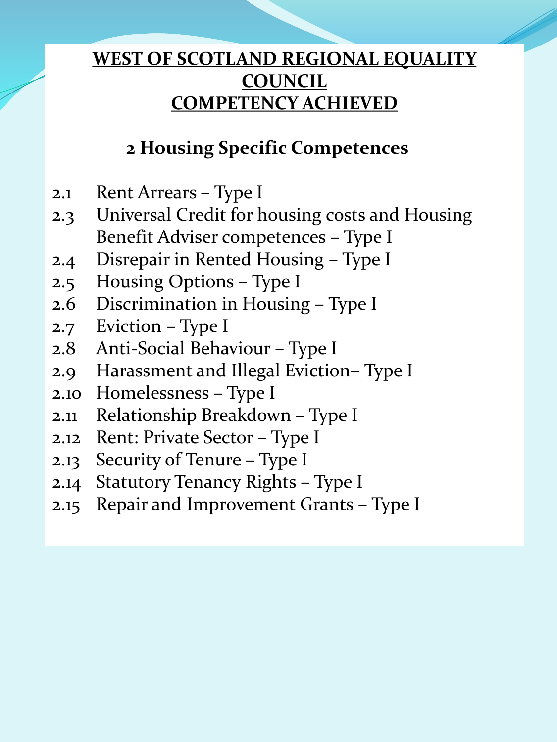### **2 Housing Specific Competences**

- 2.1 Rent Arrears Type I
- 2.3 Universal Credit for housing costs and Housing Benefit Adviser competences – Type I
- 2.4 Disrepair in Rented Housing Type I
- 2.5 Housing Options Type I
- 2.6 Discrimination in Housing Type I
- 2.7 Eviction Type I
- 2.8 Anti-Social Behaviour Type I
- 2.9 Harassment and Illegal Eviction– Type I
- 2.10 Homelessness Type I
- 2.11 Relationship Breakdown Type I
- 2.12 Rent: Private Sector Type I
- 2.13 Security of Tenure Type I
- 2.14 Statutory Tenancy Rights Type I
- 2.15 Repair and Improvement Grants Type I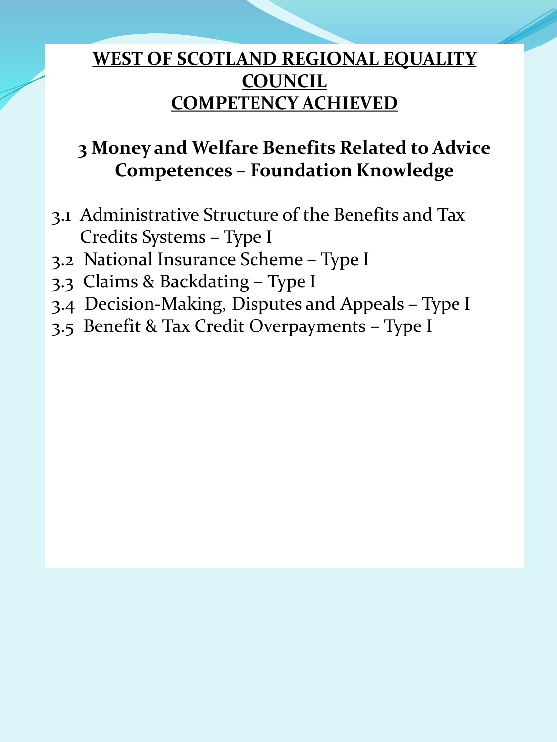## **3 Money and Welfare Benefits Related to Advice Competences – Foundation Knowledge**

- 3.1 Administrative Structure of the Benefits and Tax Credits Systems – Type I
- 3.2 National Insurance Scheme Type I
- 3.3 Claims & Backdating Type I
- 3.4 Decision-Making, Disputes and Appeals Type I
- 3.5 Benefit & Tax Credit Overpayments Type I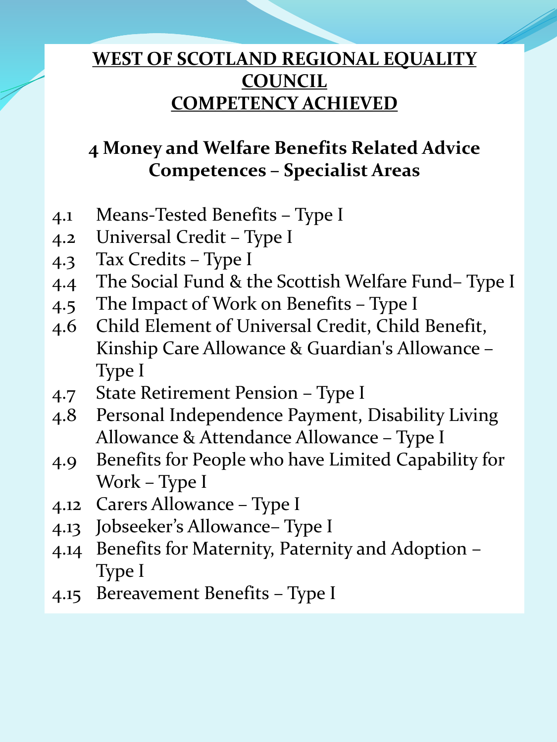## **4 Money and Welfare Benefits Related Advice Competences – Specialist Areas**

- 4.1 Means-Tested Benefits Type I
- 4.2 Universal Credit Type I
- 4.3 Tax Credits Type I
- 4.4 The Social Fund & the Scottish Welfare Fund– Type I
- 4.5 The Impact of Work on Benefits Type I
- 4.6 Child Element of Universal Credit, Child Benefit, Kinship Care Allowance & Guardian's Allowance – Type I
- 4.7 State Retirement Pension Type I
- 4.8 Personal Independence Payment, Disability Living Allowance & Attendance Allowance – Type I
- 4.9 Benefits for People who have Limited Capability for Work – Type I
- 4.12 Carers Allowance Type I
- 4.13 Jobseeker's Allowance– Type I
- 4.14 Benefits for Maternity, Paternity and Adoption Type I
- 4.15 Bereavement Benefits Type I